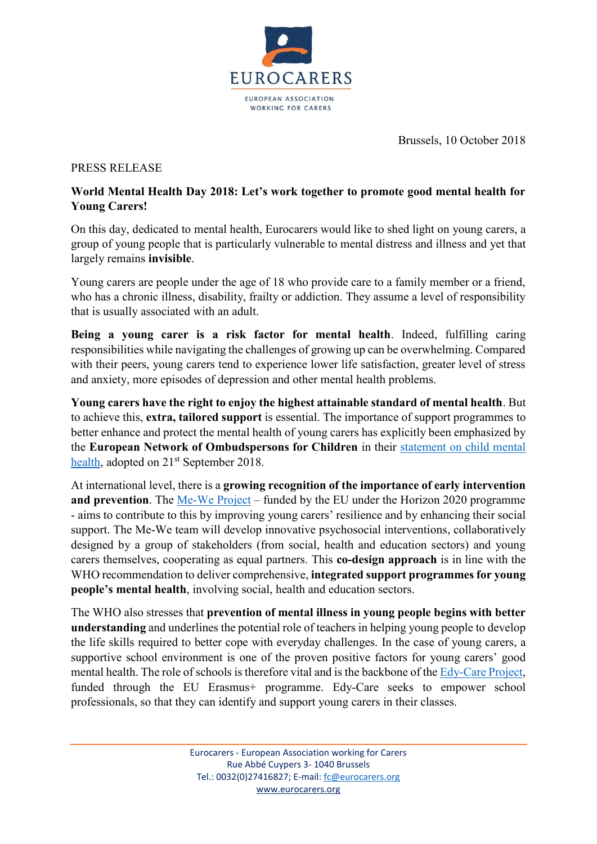

Brussels, 10 October 2018

## PRESS RELEASE

## **World Mental Health Day 2018: Let's work together to promote good mental health for Young Carers!**

On this day, dedicated to mental health, Eurocarers would like to shed light on young carers, a group of young people that is particularly vulnerable to mental distress and illness and yet that largely remains **invisible**.

Young carers are people under the age of 18 who provide care to a family member or a friend, who has a chronic illness, disability, frailty or addiction. They assume a level of responsibility that is usually associated with an adult.

**Being a young carer is a risk factor for mental health**. Indeed, fulfilling caring responsibilities while navigating the challenges of growing up can be overwhelming. Compared with their peers, young carers tend to experience lower life satisfaction, greater level of stress and anxiety, more episodes of depression and other mental health problems.

**Young carers have the right to enjoy the highest attainable standard of mental health**. But to achieve this, **extra, tailored support** is essential. The importance of support programmes to better enhance and protect the mental health of young carers has explicitly been emphasized by the **European Network of Ombudspersons for Children** in their [statement on child mental](http://enoc.eu/wp-content/uploads/2014/12/ENOC-2018-statement-Child-Mental-Health-FV.pdf)  [health,](http://enoc.eu/wp-content/uploads/2014/12/ENOC-2018-statement-Child-Mental-Health-FV.pdf) adopted on 21<sup>st</sup> September 2018.

At international level, there is a **growing recognition of the importance of early intervention and prevention**. The [Me-We Project](http://me-we.eu/) – funded by the EU under the Horizon 2020 programme - aims to contribute to this by improving young carers' resilience and by enhancing their social support. The Me-We team will develop innovative psychosocial interventions, collaboratively designed by a group of stakeholders (from social, health and education sectors) and young carers themselves, cooperating as equal partners. This **co-design approach** is in line with the WHO recommendation to deliver comprehensive, **integrated support programmes for young people's mental health**, involving social, health and education sectors.

The WHO also stresses that **prevention of mental illness in young people begins with better understanding** and underlines the potential role of teachers in helping young people to develop the life skills required to better cope with everyday challenges. In the case of young carers, a supportive school environment is one of the proven positive factors for young carers' good mental health. The role of schools is therefore vital and is the backbone of the [Edy-Care Project,](http://eurocarers.org/edycare/index) funded through the EU Erasmus+ programme. Edy-Care seeks to empower school professionals, so that they can identify and support young carers in their classes.